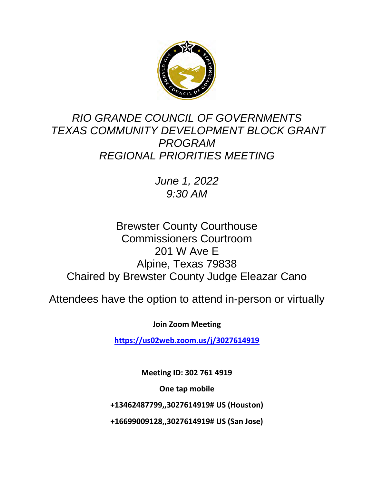

# *RIO GRANDE COUNCIL OF GOVERNMENTS TEXAS COMMUNITY DEVELOPMENT BLOCK GRANT PROGRAM REGIONAL PRIORITIES MEETING*

*June 1, 2022 9:30 AM*

# Brewster County Courthouse Commissioners Courtroom 201 W Ave E Alpine, Texas 79838 Chaired by Brewster County Judge Eleazar Cano

Attendees have the option to attend in-person or virtually

**Join Zoom Meeting**

**<https://us02web.zoom.us/j/3027614919>**

**Meeting ID: 302 761 4919**

**One tap mobile**

**+13462487799,,3027614919# US (Houston)**

**+16699009128,,3027614919# US (San Jose)**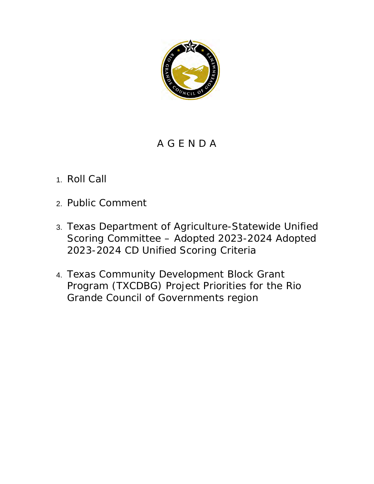

## A G E N D A

# 1. Roll Call

- 2. Public Comment
- 3. Texas Department of Agriculture-Statewide Unified Scoring Committee – Adopted 2023-2024 Adopted 2023-2024 CD Unified Scoring Criteria
- 4. Texas Community Development Block Grant Program (TXCDBG) Project Priorities for the Rio Grande Council of Governments region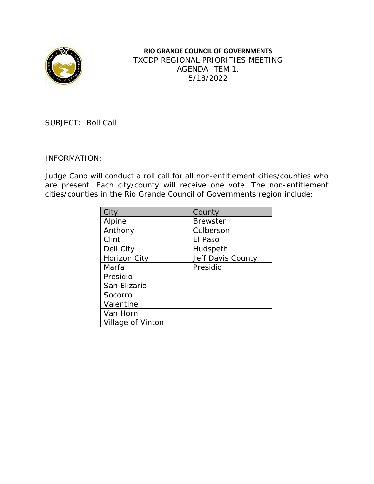

**RIO GRANDE COUNCIL OF GOVERNMENTS** TXCDP REGIONAL PRIORITIES MEETING AGENDA ITEM 1. 5/18/2022

SUBJECT: Roll Call

#### INFORMATION:

Judge Cano will conduct a roll call for all non-entitlement cities/counties who are present. Each city/county will receive one vote. The non-entitlement cities/counties in the Rio Grande Council of Governments region include:

| City              | County            |  |
|-------------------|-------------------|--|
| Alpine            | <b>Brewster</b>   |  |
| Anthony           | Culberson         |  |
| Clint             | El Paso           |  |
| Dell City         | Hudspeth          |  |
| Horizon City      | Jeff Davis County |  |
| Marfa             | Presidio          |  |
| Presidio          |                   |  |
| San Elizario      |                   |  |
| Socorro           |                   |  |
| Valentine         |                   |  |
| Van Horn          |                   |  |
| Village of Vinton |                   |  |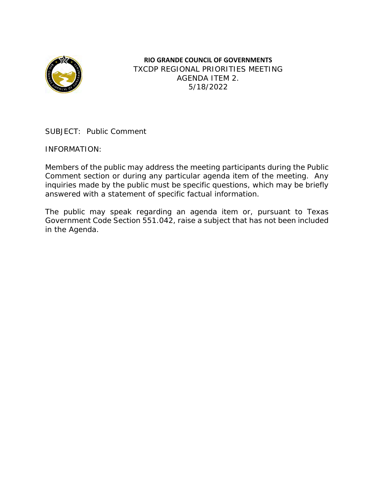

**RIO GRANDE COUNCIL OF GOVERNMENTS** TXCDP REGIONAL PRIORITIES MEETING AGENDA ITEM 2. 5/18/2022

SUBJECT: Public Comment

INFORMATION:

Members of the public may address the meeting participants during the Public Comment section or during any particular agenda item of the meeting. Any inquiries made by the public must be specific questions, which may be briefly answered with a statement of specific factual information.

The public may speak regarding an agenda item or, pursuant to Texas Government Code Section 551.042, raise a subject that has not been included in the Agenda.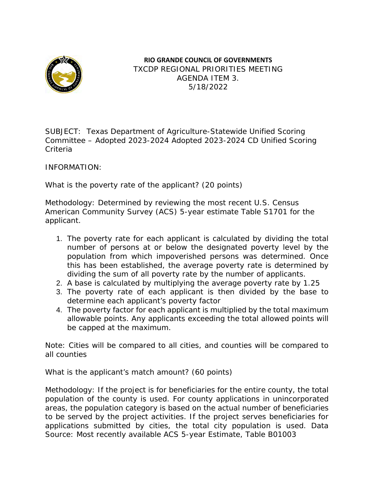

### **RIO GRANDE COUNCIL OF GOVERNMENTS** TXCDP REGIONAL PRIORITIES MEETING AGENDA ITEM 3. 5/18/2022

SUBJECT: Texas Department of Agriculture-Statewide Unified Scoring Committee – Adopted 2023-2024 Adopted 2023-2024 CD Unified Scoring Criteria

INFORMATION:

What is the poverty rate of the applicant? (20 points)

Methodology: Determined by reviewing the most recent U.S. Census American Community Survey (ACS) 5-year estimate Table S1701 for the applicant.

- 1. The poverty rate for each applicant is calculated by dividing the total number of persons at or below the designated poverty level by the population from which impoverished persons was determined. Once this has been established, the average poverty rate is determined by dividing the sum of all poverty rate by the number of applicants.
- 2. A base is calculated by multiplying the average poverty rate by 1.25
- 3. The poverty rate of each applicant is then divided by the base to determine each applicant's poverty factor
- 4. The poverty factor for each applicant is multiplied by the total maximum allowable points. Any applicants exceeding the total allowed points will be capped at the maximum.

Note: Cities will be compared to all cities, and counties will be compared to all counties

What is the applicant's match amount? (60 points)

Methodology: If the project is for beneficiaries for the entire county, the total population of the county is used. For county applications in unincorporated areas, the population category is based on the actual number of beneficiaries to be served by the project activities. If the project serves beneficiaries for applications submitted by cities, the total city population is used. Data Source: Most recently available ACS 5-year Estimate, Table B01003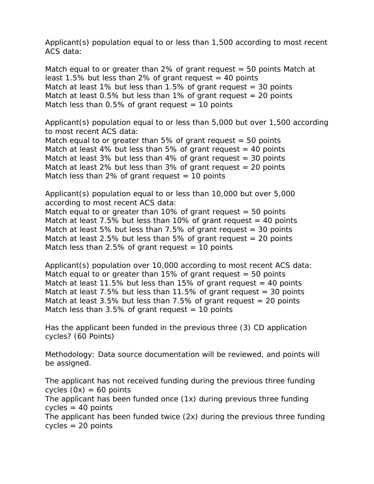Applicant(s) population equal to or less than 1,500 according to most recent ACS data:

Match equal to or greater than 2% of grant request  $=$  50 points Match at least 1.5% but less than 2% of grant request  $=$  40 points Match at least 1% but less than  $1.5\%$  of grant request = 30 points Match at least  $0.5\%$  but less than 1% of grant request = 20 points Match less than  $0.5\%$  of grant request = 10 points

Applicant(s) population equal to or less than 5,000 but over 1,500 according to most recent ACS data:

Match equal to or greater than 5% of grant request  $=$  50 points Match at least 4% but less than 5% of grant request  $=$  40 points Match at least 3% but less than 4% of grant request  $=$  30 points Match at least 2% but less than  $3\%$  of grant request = 20 points Match less than 2% of grant request  $=$  10 points

Applicant(s) population equal to or less than 10,000 but over 5,000 according to most recent ACS data:

Match equal to or greater than  $10\%$  of grant request = 50 points Match at least  $7.5\%$  but less than 10% of grant request  $=$  40 points Match at least 5% but less than  $7.5%$  of grant request = 30 points Match at least 2.5% but less than 5% of grant request  $= 20$  points Match less than 2.5% of grant request  $=$  10 points

Applicant(s) population over 10,000 according to most recent ACS data: Match equal to or greater than  $15\%$  of grant request = 50 points Match at least 11.5% but less than 15% of grant request  $=$  40 points Match at least  $7.5\%$  but less than 11.5% of grant request = 30 points Match at least 3.5% but less than 7.5% of grant request  $=$  20 points Match less than  $3.5\%$  of grant request = 10 points

Has the applicant been funded in the previous three (3) CD application cycles? (60 Points)

Methodology: Data source documentation will be reviewed, and points will be assigned.

The applicant has not received funding during the previous three funding cycles  $(0x) = 60$  points The applicant has been funded once (1x) during previous three funding  $cycles = 40 points$ The applicant has been funded twice (2x) during the previous three funding cycles = 20 points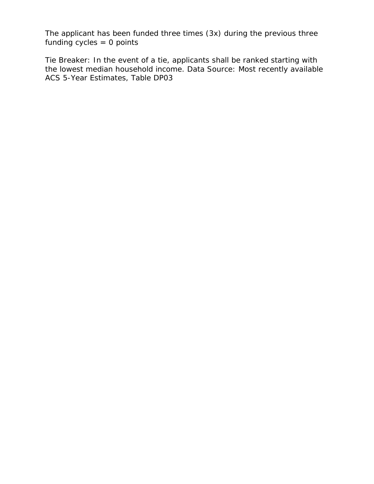The applicant has been funded three times (3x) during the previous three funding  $cycles = 0$  points

Tie Breaker: In the event of a tie, applicants shall be ranked starting with the lowest median household income. Data Source: Most recently available ACS 5-Year Estimates, Table DP03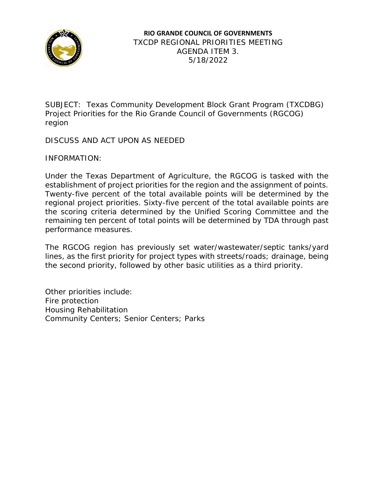

SUBJECT: Texas Community Development Block Grant Program (TXCDBG) Project Priorities for the Rio Grande Council of Governments (RGCOG) region

DISCUSS AND ACT UPON AS NEEDED

INFORMATION:

Under the Texas Department of Agriculture, the RGCOG is tasked with the establishment of project priorities for the region and the assignment of points. Twenty-five percent of the total available points will be determined by the regional project priorities. Sixty-five percent of the total available points are the scoring criteria determined by the Unified Scoring Committee and the remaining ten percent of total points will be determined by TDA through past performance measures.

The RGCOG region has previously set water/wastewater/septic tanks/yard lines, as the first priority for project types with streets/roads; drainage, being the second priority, followed by other basic utilities as a third priority.

Other priorities include: Fire protection Housing Rehabilitation Community Centers; Senior Centers; Parks